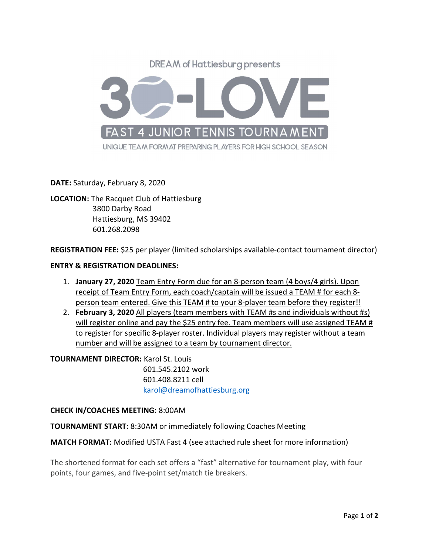



DATE: Saturday, February 8, 2020

LOCATION: The Racquet Club of Hattiesburg 3800 Darby Road Hattiesburg, MS 39402 601.268.2098

REGISTRATION FEE: \$25 per player (limited scholarships available-contact tournament director)

## ENTRY & REGISTRATION DEADLINES:

- 1. January 27, 2020 Team Entry Form due for an 8-person team (4 boys/4 girls). Upon receipt of Team Entry Form, each coach/captain will be issued a TEAM # for each 8 person team entered. Give this TEAM # to your 8-player team before they register!!
- 2. February 3, 2020 All players (team members with TEAM #s and individuals without #s) will register online and pay the \$25 entry fee. Team members will use assigned TEAM # to register for specific 8-player roster. Individual players may register without a team number and will be assigned to a team by tournament director.

TOURNAMENT DIRECTOR: Karol St. Louis 601.545.2102 work 601.408.8211 cell karol@dreamofhattiesburg.org

## CHECK IN/COACHES MEETING: 8:00AM

TOURNAMENT START: 8:30AM or immediately following Coaches Meeting

## MATCH FORMAT: Modified USTA Fast 4 (see attached rule sheet for more information)

The shortened format for each set offers a "fast" alternative for tournament play, with four points, four games, and five-point set/match tie breakers.